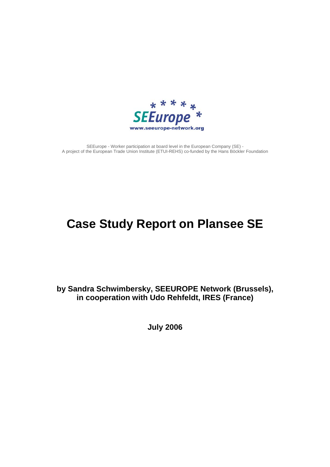

SEEurope - Worker participation at board level in the European Company (SE) - A project of the European Trade Union Institute (ETUI-REHS) co-funded by the Hans Böckler Foundation

# **Case Study Report on Plansee SE**

**by Sandra Schwimbersky, SEEUROPE Network (Brussels), in cooperation with Udo Rehfeldt, IRES (France)** 

**July 2006**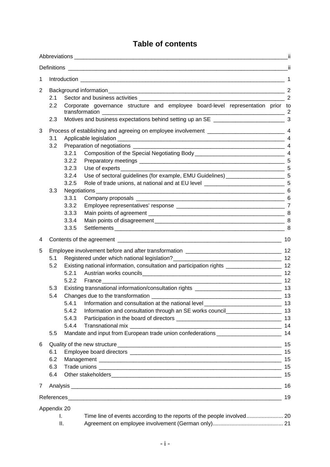# **Table of contents**

| 1           | $\overline{1}$        |       |                                                                                                 |    |  |  |  |
|-------------|-----------------------|-------|-------------------------------------------------------------------------------------------------|----|--|--|--|
| 2           |                       |       |                                                                                                 |    |  |  |  |
|             | 2.1                   |       |                                                                                                 |    |  |  |  |
|             | 2.2                   |       | Corporate governance structure and employee board-level representation prior to                 |    |  |  |  |
|             | 2.3                   |       |                                                                                                 |    |  |  |  |
| 3           |                       |       |                                                                                                 |    |  |  |  |
|             | $\overline{4}$<br>3.1 |       |                                                                                                 |    |  |  |  |
|             | 3.2                   |       |                                                                                                 |    |  |  |  |
|             |                       | 3.2.1 |                                                                                                 |    |  |  |  |
|             |                       | 3.2.2 |                                                                                                 |    |  |  |  |
|             |                       | 3.2.3 |                                                                                                 |    |  |  |  |
|             |                       | 3.2.4 | Use of sectoral guidelines (for example, EMU Guidelines) _______________________ 5              |    |  |  |  |
|             |                       | 3.2.5 |                                                                                                 |    |  |  |  |
|             | 3.3                   |       |                                                                                                 |    |  |  |  |
|             |                       | 3.3.1 |                                                                                                 |    |  |  |  |
|             |                       | 3.3.2 |                                                                                                 |    |  |  |  |
|             |                       | 3.3.3 |                                                                                                 |    |  |  |  |
|             |                       | 3.3.4 |                                                                                                 |    |  |  |  |
|             |                       | 3.3.5 |                                                                                                 |    |  |  |  |
| 4           |                       |       |                                                                                                 |    |  |  |  |
| 5           |                       |       |                                                                                                 |    |  |  |  |
|             | 5.1                   |       |                                                                                                 |    |  |  |  |
|             | 5.2                   |       | Existing national information, consultation and participation rights _______________________ 12 |    |  |  |  |
|             |                       |       |                                                                                                 |    |  |  |  |
|             |                       |       |                                                                                                 |    |  |  |  |
|             | 5.3                   |       |                                                                                                 |    |  |  |  |
|             | 5.4                   |       |                                                                                                 |    |  |  |  |
|             |                       | 5.4.1 |                                                                                                 |    |  |  |  |
|             |                       | 5.4.2 | Information and consultation through an SE works council_________________________ 13            |    |  |  |  |
|             |                       | 5.4.3 |                                                                                                 | 13 |  |  |  |
|             |                       | 5.4.4 |                                                                                                 |    |  |  |  |
|             | 5.5                   |       | Mandate and input from European trade union confederations _____________________                | 14 |  |  |  |
| 6           | 15                    |       |                                                                                                 |    |  |  |  |
|             | 6.1                   |       |                                                                                                 | 15 |  |  |  |
|             | 6.2                   |       |                                                                                                 |    |  |  |  |
|             | 6.3                   |       |                                                                                                 | 15 |  |  |  |
|             | 6.4                   | 15    |                                                                                                 |    |  |  |  |
| 7           | 16                    |       |                                                                                                 |    |  |  |  |
|             | 19                    |       |                                                                                                 |    |  |  |  |
| Appendix 20 |                       |       |                                                                                                 |    |  |  |  |
|             | L.                    |       |                                                                                                 |    |  |  |  |
| Ш.          |                       |       |                                                                                                 |    |  |  |  |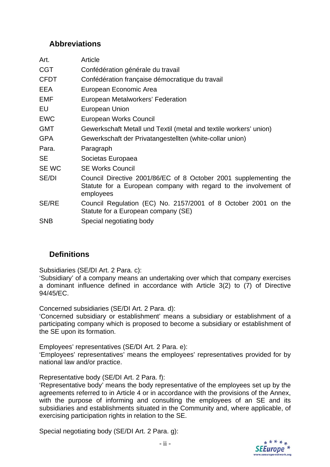### **Abbreviations**

| Art.         | Article                                                                                                                                           |
|--------------|---------------------------------------------------------------------------------------------------------------------------------------------------|
| <b>CGT</b>   | Confédération générale du travail                                                                                                                 |
| <b>CFDT</b>  | Confédération française démocratique du travail                                                                                                   |
| EEA          | European Economic Area                                                                                                                            |
| EMF          | European Metalworkers' Federation                                                                                                                 |
| EU           | European Union                                                                                                                                    |
| <b>EWC</b>   | European Works Council                                                                                                                            |
| <b>GMT</b>   | Gewerkschaft Metall und Textil (metal and textile workers' union)                                                                                 |
| <b>GPA</b>   | Gewerkschaft der Privatangestellten (white-collar union)                                                                                          |
| Para.        | Paragraph                                                                                                                                         |
| <b>SE</b>    | Societas Europaea                                                                                                                                 |
| SE WC        | <b>SE Works Council</b>                                                                                                                           |
| SE/DI        | Council Directive 2001/86/EC of 8 October 2001 supplementing the<br>Statute for a European company with regard to the involvement of<br>employees |
| <b>SE/RE</b> | Council Regulation (EC) No. 2157/2001 of 8 October 2001 on the<br>Statute for a European company (SE)                                             |
| <b>SNB</b>   | Special negotiating body                                                                                                                          |
|              |                                                                                                                                                   |

### **Definitions**

Subsidiaries (SE/DI Art. 2 Para. c):

'Subsidiary' of a company means an undertaking over which that company exercises a dominant influence defined in accordance with Article 3(2) to (7) of Directive 94/45/EC.

Concerned subsidiaries (SE/DI Art. 2 Para. d):

'Concerned subsidiary or establishment' means a subsidiary or establishment of a participating company which is proposed to become a subsidiary or establishment of the SE upon its formation.

Employees' representatives (SE/DI Art. 2 Para. e): 'Employees' representatives' means the employees' representatives provided for by national law and/or practice.

Representative body (SE/DI Art. 2 Para. f):

'Representative body' means the body representative of the employees set up by the agreements referred to in Article 4 or in accordance with the provisions of the Annex, with the purpose of informing and consulting the employees of an SE and its subsidiaries and establishments situated in the Community and, where applicable, of exercising participation rights in relation to the SE.

Special negotiating body (SE/DI Art. 2 Para. g):

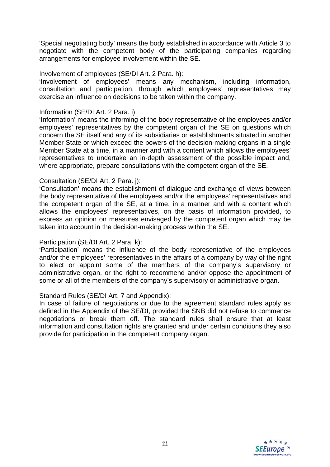'Special negotiating body' means the body established in accordance with Article 3 to negotiate with the competent body of the participating companies regarding arrangements for employee involvement within the SE.

#### Involvement of employees (SE/DI Art. 2 Para. h):

'Involvement of employees' means any mechanism, including information, consultation and participation, through which employees' representatives may exercise an influence on decisions to be taken within the company.

#### Information (SE/DI Art. 2 Para. i):

'Information' means the informing of the body representative of the employees and/or employees' representatives by the competent organ of the SE on questions which concern the SE itself and any of its subsidiaries or establishments situated in another Member State or which exceed the powers of the decision-making organs in a single Member State at a time, in a manner and with a content which allows the employees' representatives to undertake an in-depth assessment of the possible impact and, where appropriate, prepare consultations with the competent organ of the SE.

#### Consultation (SE/DI Art. 2 Para. j):

'Consultation' means the establishment of dialogue and exchange of views between the body representative of the employees and/or the employees' representatives and the competent organ of the SE, at a time, in a manner and with a content which allows the employees' representatives, on the basis of information provided, to express an opinion on measures envisaged by the competent organ which may be taken into account in the decision-making process within the SE.

#### Participation (SE/DI Art. 2 Para. k):

'Participation' means the influence of the body representative of the employees and/or the employees' representatives in the affairs of a company by way of the right to elect or appoint some of the members of the company's supervisory or administrative organ, or the right to recommend and/or oppose the appointment of some or all of the members of the company's supervisory or administrative organ.

#### Standard Rules (SE/DI Art. 7 and Appendix):

In case of failure of negotiations or due to the agreement standard rules apply as defined in the Appendix of the SE/DI, provided the SNB did not refuse to commence negotiations or break them off. The standard rules shall ensure that at least information and consultation rights are granted and under certain conditions they also provide for participation in the competent company organ.

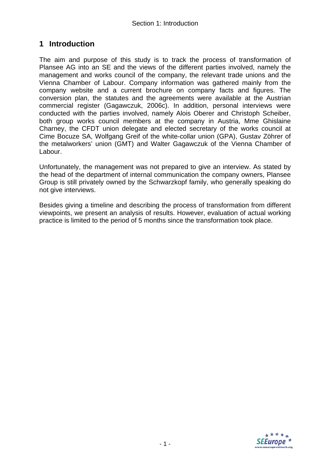### **1 Introduction**

The aim and purpose of this study is to track the process of transformation of Plansee AG into an SE and the views of the different parties involved, namely the management and works council of the company, the relevant trade unions and the Vienna Chamber of Labour. Company information was gathered mainly from the company website and a current brochure on company facts and figures. The conversion plan, the statutes and the agreements were available at the Austrian commercial register (Gagawczuk, 2006c). In addition, personal interviews were conducted with the parties involved, namely Alois Oberer and Christoph Scheiber, both group works council members at the company in Austria, Mme Ghislaine Charney, the CFDT union delegate and elected secretary of the works council at Cime Bocuze SA, Wolfgang Greif of the white-collar union (GPA), Gustav Zöhrer of the metalworkers' union (GMT) and Walter Gagawczuk of the Vienna Chamber of Labour.

Unfortunately, the management was not prepared to give an interview. As stated by the head of the department of internal communication the company owners, Plansee Group is still privately owned by the Schwarzkopf family, who generally speaking do not give interviews.

Besides giving a timeline and describing the process of transformation from different viewpoints, we present an analysis of results. However, evaluation of actual working practice is limited to the period of 5 months since the transformation took place.

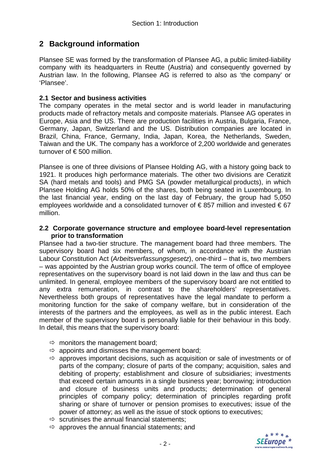### **2 Background information**

Plansee SE was formed by the transformation of Plansee AG, a public limited-liability company with its headquarters in Reutte (Austria) and consequently governed by Austrian law. In the following, Plansee AG is referred to also as 'the company' or 'Plansee'.

#### **2.1 Sector and business activities**

The company operates in the metal sector and is world leader in manufacturing products made of refractory metals and composite materials. Plansee AG operates in Europe, Asia and the US. There are production facilities in Austria, Bulgaria, France, Germany, Japan, Switzerland and the US. Distribution companies are located in Brazil, China, France, Germany, India, Japan, Korea, the Netherlands, Sweden, Taiwan and the UK. The company has a workforce of 2,200 worldwide and generates turnover of € 500 million.

Plansee is one of three divisions of Plansee Holding AG, with a history going back to 1921. It produces high performance materials. The other two divisions are Ceratizit SA (hard metals and tools) and PMG SA (powder metallurgical products), in which Plansee Holding AG holds 50% of the shares, both being seated in Luxembourg. In the last financial year, ending on the last day of February, the group had 5,050 employees worldwide and a consolidated turnover of  $\epsilon$ 857 million and invested  $\epsilon$ 67 million.

#### **2.2 Corporate governance structure and employee board-level representation prior to transformation**

Plansee had a two-tier structure. The management board had three members. The supervisory board had six members, of whom, in accordance with the Austrian Labour Constitution Act (*Arbeitsverfassungsgesetz*), one-third – that is, two members – was appointed by the Austrian group works council. The term of office of employee representatives on the supervisory board is not laid down in the law and thus can be unlimited. In general, employee members of the supervisory board are not entitled to any extra remuneration, in contrast to the shareholders' representatives. Nevertheless both groups of representatives have the legal mandate to perform a monitoring function for the sake of company welfare, but in consideration of the interests of the partners and the employees, as well as in the public interest. Each member of the supervisory board is personally liable for their behaviour in this body. In detail, this means that the supervisory board:

- $\Rightarrow$  monitors the management board;
- $\Rightarrow$  appoints and dismisses the management board;
- $\Rightarrow$  approves important decisions, such as acquisition or sale of investments or of parts of the company; closure of parts of the company; acquisition, sales and debiting of property; establishment and closure of subsidiaries; investments that exceed certain amounts in a single business year; borrowing; introduction and closure of business units and products; determination of general principles of company policy; determination of principles regarding profit sharing or share of turnover or pension promises to executives; issue of the power of attorney; as well as the issue of stock options to executives;
- $\Rightarrow$  scrutinises the annual financial statements;
- $\Rightarrow$  approves the annual financial statements; and

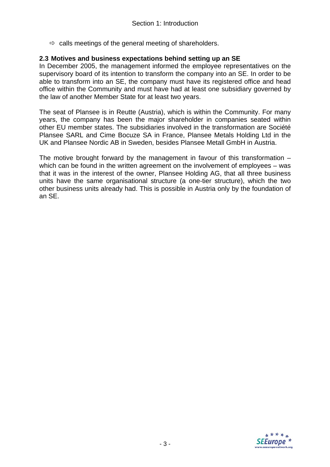$\Rightarrow$  calls meetings of the general meeting of shareholders.

#### **2.3 Motives and business expectations behind setting up an SE**

In December 2005, the management informed the employee representatives on the supervisory board of its intention to transform the company into an SE. In order to be able to transform into an SE, the company must have its registered office and head office within the Community and must have had at least one subsidiary governed by the law of another Member State for at least two years.

The seat of Plansee is in Reutte (Austria), which is within the Community. For many years, the company has been the major shareholder in companies seated within other EU member states. The subsidiaries involved in the transformation are Société Plansee SARL and Cime Bocuze SA in France, Plansee Metals Holding Ltd in the UK and Plansee Nordic AB in Sweden, besides Plansee Metall GmbH in Austria.

The motive brought forward by the management in favour of this transformation – which can be found in the written agreement on the involvement of employees – was that it was in the interest of the owner, Plansee Holding AG, that all three business units have the same organisational structure (a one-tier structure), which the two other business units already had. This is possible in Austria only by the foundation of an SE.

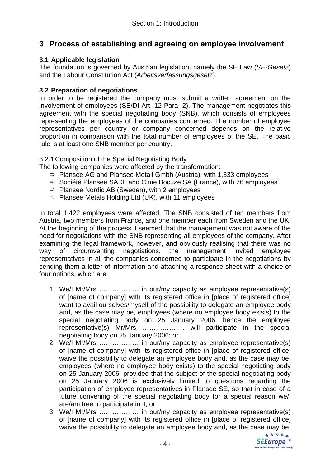### **3 Process of establishing and agreeing on employee involvement**

#### **3.1 Applicable legislation**

The foundation is governed by Austrian legislation, namely the SE Law (*SE-Gesetz*) and the Labour Constitution Act (*Arbeitsverfassungsgesetz*).

#### **3.2 Preparation of negotiations**

In order to be registered the company must submit a written agreement on the involvement of employees (SE/DI Art. 12 Para. 2). The management negotiates this agreement with the special negotiating body (SNB), which consists of employees representing the employees of the companies concerned. The number of employee representatives per country or company concerned depends on the relative proportion in comparison with the total number of employees of the SE. The basic rule is at least one SNB member per country.

3.2.1 Composition of the Special Negotiating Body

The following companies were affected by the transformation:

- $\Rightarrow$  Plansee AG and Plansee Metall Gmbh (Austria), with 1,333 employees
- $\Rightarrow$  Société Plansee SARL and Cime Bocuze SA (France), with 76 employees
- $\Rightarrow$  Plansee Nordic AB (Sweden), with 2 employees
- $\Rightarrow$  Plansee Metals Holding Ltd (UK), with 11 employees

In total 1,422 employees were affected. The SNB consisted of ten members from Austria, two members from France, and one member each from Sweden and the UK. At the beginning of the process it seemed that the management was not aware of the need for negotiations with the SNB representing all employees of the company. After examining the legal framework, however, and obviously realising that there was no way of circumventing negotiations, the management invited employee representatives in all the companies concerned to participate in the negotiations by sending them a letter of information and attaching a response sheet with a choice of four options, which are:

- 1. We/I Mr/Mrs ……………… in our/my capacity as employee representative(s) of [name of company] with its registered office in [place of registered office] want to avail ourselves/myself of the possibility to delegate an employee body and, as the case may be, employees (where no employee body exists) to the special negotiating body on 25 January 2006, hence the employee representative(s) Mr/Mrs ………………. will participate in the special negotiating body on 25 January 2006; or
- 2. We/I Mr/Mrs ……………… in our/my capacity as employee representative(s) of [name of company] with its registered office in [place of registered office] waive the possibility to delegate an employee body and, as the case may be, employees (where no employee body exists) to the special negotiating body on 25 January 2006, provided that the subject of the special negotiating body on 25 January 2006 is exclusively limited to questions regarding the participation of employee representatives in Plansee SE, so that in case of a future convening of the special negotiating body for a special reason we/I are/am free to participate in it; or
- 3. We/I Mr/Mrs ……………… in our/my capacity as employee representative(s) of [name of company] with its registered office in [place of registered office] waive the possibility to delegate an employee body and, as the case may be,<br>\*\*\*\*\*

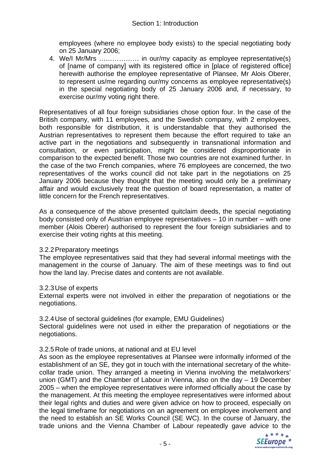employees (where no employee body exists) to the special negotiating body on 25 January 2006;

4. We/I Mr/Mrs ……………… in our/my capacity as employee representative(s) of [name of company] with its registered office in [place of registered office] herewith authorise the employee representative of Plansee, Mr Alois Oberer, to represent us/me regarding our/my concerns as employee representative(s) in the special negotiating body of 25 January 2006 and, if necessary, to exercise our/my voting right there.

Representatives of all four foreign subsidiaries chose option four. In the case of the British company, with 11 employees, and the Swedish company, with 2 employees, both responsible for distribution, it is understandable that they authorised the Austrian representatives to represent them because the effort required to take an active part in the negotiations and subsequently in transnational information and consultation, or even participation, might be considered disproportionate in comparison to the expected benefit. Those two countries are not examined further. In the case of the two French companies, where 76 employees are concerned, the two representatives of the works council did not take part in the negotiations on 25 January 2006 because they thought that the meeting would only be a preliminary affair and would exclusively treat the question of board representation, a matter of little concern for the French representatives.

As a consequence of the above presented quitclaim deeds, the special negotiating body consisted only of Austrian employee representatives – 10 in number – with one member (Alois Oberer) authorised to represent the four foreign subsidiaries and to exercise their voting rights at this meeting.

#### 3.2.2 Preparatory meetings

The employee representatives said that they had several informal meetings with the management in the course of January. The aim of these meetings was to find out how the land lay. Precise dates and contents are not available.

#### 3.2.3 Use of experts

External experts were not involved in either the preparation of negotiations or the negotiations.

#### 3.2.4 Use of sectoral guidelines (for example, EMU Guidelines)

Sectoral guidelines were not used in either the preparation of negotiations or the negotiations.

#### 3.2.5 Role of trade unions, at national and at EU level

As soon as the employee representatives at Plansee were informally informed of the establishment of an SE, they got in touch with the international secretary of the whitecollar trade union. They arranged a meeting in Vienna involving the metalworkers' union (GMT) and the Chamber of Labour in Vienna, also on the day – 19 December 2005 – when the employee representatives were informed officially about the case by the management. At this meeting the employee representatives were informed about their legal rights and duties and were given advice on how to proceed, especially on the legal timeframe for negotiations on an agreement on employee involvement and the need to establish an SE Works Council (SE WC). In the course of January, the trade unions and the Vienna Chamber of Labour repeatedly gave advice to the

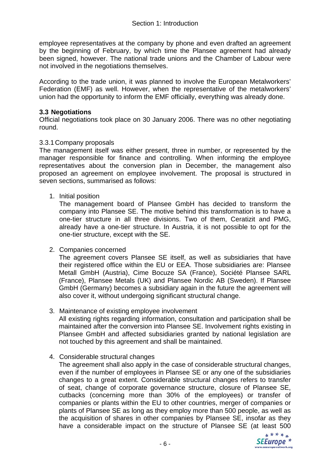employee representatives at the company by phone and even drafted an agreement by the beginning of February, by which time the Plansee agreement had already been signed, however. The national trade unions and the Chamber of Labour were not involved in the negotiations themselves.

According to the trade union, it was planned to involve the European Metalworkers' Federation (EMF) as well. However, when the representative of the metalworkers' union had the opportunity to inform the EMF officially, everything was already done.

#### **3.3 Negotiations**

Official negotiations took place on 30 January 2006. There was no other negotiating round.

#### 3.3.1 Company proposals

The management itself was either present, three in number, or represented by the manager responsible for finance and controlling. When informing the employee representatives about the conversion plan in December, the management also proposed an agreement on employee involvement. The proposal is structured in seven sections, summarised as follows:

#### 1. Initial position

The management board of Plansee GmbH has decided to transform the company into Plansee SE. The motive behind this transformation is to have a one-tier structure in all three divisions. Two of them, Ceratizit and PMG, already have a one-tier structure. In Austria, it is not possible to opt for the one-tier structure, except with the SE.

2. Companies concerned

The agreement covers Plansee SE itself, as well as subsidiaries that have their registered office within the EU or EEA. Those subsidiaries are: Plansee Metall GmbH (Austria), Cime Bocuze SA (France), Société Plansee SARL (France), Plansee Metals (UK) and Plansee Nordic AB (Sweden). If Plansee GmbH (Germany) becomes a subsidiary again in the future the agreement will also cover it, without undergoing significant structural change.

3. Maintenance of existing employee involvement

All existing rights regarding information, consultation and participation shall be maintained after the conversion into Plansee SE. Involvement rights existing in Plansee GmbH and affected subsidiaries granted by national legislation are not touched by this agreement and shall be maintained.

#### 4. Considerable structural changes

The agreement shall also apply in the case of considerable structural changes, even if the number of employees in Plansee SE or any one of the subsidiaries changes to a great extent. Considerable structural changes refers to transfer of seat, change of corporate governance structure, closure of Plansee SE, cutbacks (concerning more than 30% of the employees) or transfer of companies or plants within the EU to other countries, merger of companies or plants of Plansee SE as long as they employ more than 500 people, as well as the acquisition of shares in other companies by Plansee SE, insofar as they have a considerable impact on the structure of Plansee SE (at least 500

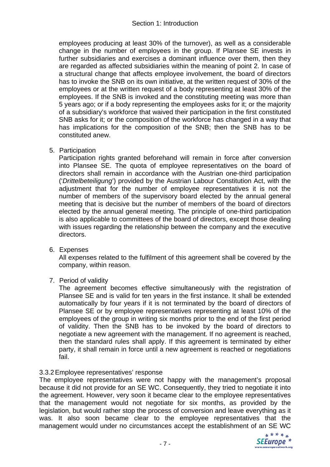employees producing at least 30% of the turnover), as well as a considerable change in the number of employees in the group. If Plansee SE invests in further subsidiaries and exercises a dominant influence over them, then they are regarded as affected subsidiaries within the meaning of point 2. In case of a structural change that affects employee involvement, the board of directors has to invoke the SNB on its own initiative, at the written request of 30% of the employees or at the written request of a body representing at least 30% of the employees. If the SNB is invoked and the constituting meeting was more than 5 years ago; or if a body representing the employees asks for it; or the majority of a subsidiary's workforce that waived their participation in the first constituted SNB asks for it; or the composition of the workforce has changed in a way that has implications for the composition of the SNB; then the SNB has to be constituted anew.

5. Participation

Participation rights granted beforehand will remain in force after conversion into Plansee SE. The quota of employee representatives on the board of directors shall remain in accordance with the Austrian one-third participation ('*Drittelbeteiligung*') provided by the Austrian Labour Constitution Act, with the adjustment that for the number of employee representatives it is not the number of members of the supervisory board elected by the annual general meeting that is decisive but the number of members of the board of directors elected by the annual general meeting. The principle of one-third participation is also applicable to committees of the board of directors, except those dealing with issues regarding the relationship between the company and the executive directors.

6. Expenses

All expenses related to the fulfilment of this agreement shall be covered by the company, within reason.

7. Period of validity

The agreement becomes effective simultaneously with the registration of Plansee SE and is valid for ten years in the first instance. It shall be extended automatically by four years if it is not terminated by the board of directors of Plansee SE or by employee representatives representing at least 10% of the employees of the group in writing six months prior to the end of the first period of validity. Then the SNB has to be invoked by the board of directors to negotiate a new agreement with the management. If no agreement is reached, then the standard rules shall apply. If this agreement is terminated by either party, it shall remain in force until a new agreement is reached or negotiations fail.

#### 3.3.2 Employee representatives' response

The employee representatives were not happy with the management's proposal because it did not provide for an SE WC. Consequently, they tried to negotiate it into the agreement. However, very soon it became clear to the employee representatives that the management would not negotiate for six months, as provided by the legislation, but would rather stop the process of conversion and leave everything as it was. It also soon became clear to the employee representatives that the management would under no circumstances accept the establishment of an SE WC

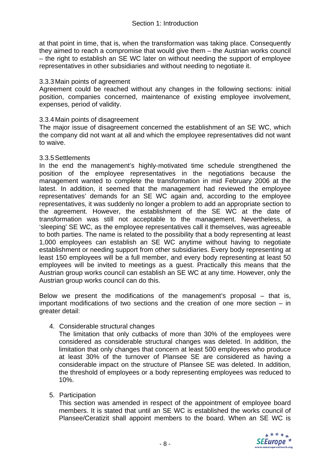at that point in time, that is, when the transformation was taking place. Consequently they aimed to reach a compromise that would give them – the Austrian works council – the right to establish an SE WC later on without needing the support of employee representatives in other subsidiaries and without needing to negotiate it.

#### 3.3.3 Main points of agreement

Agreement could be reached without any changes in the following sections: initial position, companies concerned, maintenance of existing employee involvement, expenses, period of validity.

#### 3.3.4 Main points of disagreement

The major issue of disagreement concerned the establishment of an SE WC, which the company did not want at all and which the employee representatives did not want to waive.

#### 3.3.5 Settlements

In the end the management's highly-motivated time schedule strengthened the position of the employee representatives in the negotiations because the management wanted to complete the transformation in mid February 2006 at the latest. In addition, it seemed that the management had reviewed the employee representatives' demands for an SE WC again and, according to the employee representatives, it was suddenly no longer a problem to add an appropriate section to the agreement. However, the establishment of the SE WC at the date of transformation was still not acceptable to the management. Nevertheless, a 'sleeping' SE WC, as the employee representatives call it themselves, was agreeable to both parties. The name is related to the possibility that a body representing at least 1,000 employees can establish an SE WC anytime without having to negotiate establishment or needing support from other subsidiaries. Every body representing at least 150 employees will be a full member, and every body representing at least 50 employees will be invited to meetings as a guest. Practically this means that the Austrian group works council can establish an SE WC at any time. However, only the Austrian group works council can do this.

Below we present the modifications of the management's proposal – that is, important modifications of two sections and the creation of one more section – in greater detail:

4. Considerable structural changes

The limitation that only cutbacks of more than 30% of the employees were considered as considerable structural changes was deleted. In addition, the limitation that only changes that concern at least 500 employees who produce at least 30% of the turnover of Plansee SE are considered as having a considerable impact on the structure of Plansee SE was deleted. In addition, the threshold of employees or a body representing employees was reduced to 10%.

5. Participation

This section was amended in respect of the appointment of employee board members. It is stated that until an SE WC is established the works council of Plansee/Ceratizit shall appoint members to the board. When an SE WC is

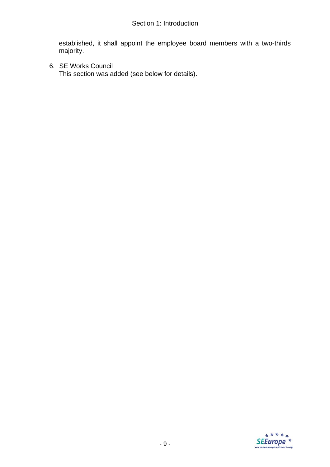established, it shall appoint the employee board members with a two-thirds majority.

6. SE Works Council This section was added (see below for details).

SEEurope<sup>\*\*</sup>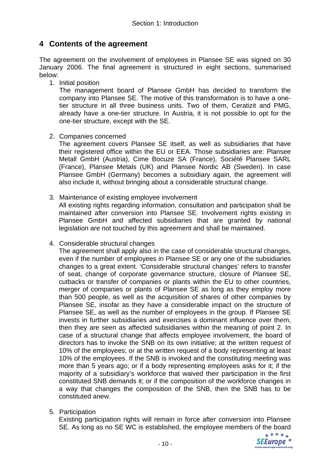### **4 Contents of the agreement**

The agreement on the involvement of employees in Plansee SE was signed on 30 January 2006. The final agreement is structured in eight sections, summarised below:

1. Initial position

The management board of Plansee GmbH has decided to transform the company into Plansee SE. The motive of this transformation is to have a onetier structure in all three business units. Two of them, Ceratizit and PMG, already have a one-tier structure. In Austria, it is not possible to opt for the one-tier structure, except with the SE.

2. Companies concerned

The agreement covers Plansee SE itself, as well as subsidiaries that have their registered office within the EU or EEA. Those subsidiaries are: Plansee Metall GmbH (Austria), Cime Bocuze SA (France), Société Plansee SARL (France), Plansee Metals (UK) and Plansee Nordic AB (Sweden). In case Plansee GmbH (Germany) becomes a subsidiary again, the agreement will also include it, without bringing about a considerable structural change.

3. Maintenance of existing employee involvement

All existing rights regarding information, consultation and participation shall be maintained after conversion into Plansee SE. Involvement rights existing in Plansee GmbH and affected subsidiaries that are granted by national legislation are not touched by this agreement and shall be maintained.

4. Considerable structural changes

The agreement shall apply also in the case of considerable structural changes, even if the number of employees in Plansee SE or any one of the subsidiaries changes to a great extent. 'Considerable structural changes' refers to transfer of seat, change of corporate governance structure, closure of Plansee SE, cutbacks or transfer of companies or plants within the EU to other countries, merger of companies or plants of Plansee SE as long as they employ more than 500 people, as well as the acquisition of shares of other companies by Plansee SE, insofar as they have a considerable impact on the structure of Plansee SE, as well as the number of employees in the group. If Plansee SE invests in further subsidiaries and exercises a dominant influence over them, then they are seen as affected subsidiaries within the meaning of point 2. In case of a structural change that affects employee involvement, the board of directors has to invoke the SNB on its own initiative; at the written request of 10% of the employees; or at the written request of a body representing at least 10% of the employees. If the SNB is invoked and the constituting meeting was more than 5 years ago; or if a body representing employees asks for it; if the majority of a subsidiary's workforce that waived their participation in the first constituted SNB demands it; or if the composition of the workforce changes in a way that changes the composition of the SNB, then the SNB has to be constituted anew.

5. Participation

Existing participation rights will remain in force after conversion into Plansee SE. As long as no SE WC is established, the employee members of the board

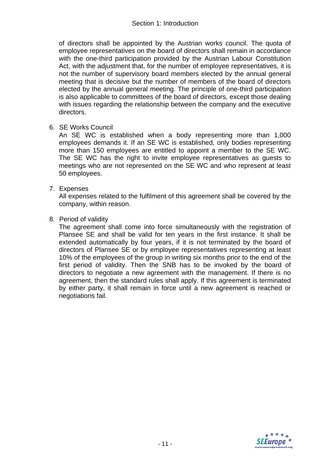#### Section 1: Introduction

of directors shall be appointed by the Austrian works council. The quota of employee representatives on the board of directors shall remain in accordance with the one-third participation provided by the Austrian Labour Constitution Act, with the adjustment that, for the number of employee representatives, it is not the number of supervisory board members elected by the annual general meeting that is decisive but the number of members of the board of directors elected by the annual general meeting. The principle of one-third participation is also applicable to committees of the board of directors, except those dealing with issues regarding the relationship between the company and the executive directors.

6. SE Works Council

An SE WC is established when a body representing more than 1,000 employees demands it. If an SE WC is established, only bodies representing more than 150 employees are entitled to appoint a member to the SE WC. The SE WC has the right to invite employee representatives as guests to meetings who are not represented on the SE WC and who represent at least 50 employees.

7. Expenses

All expenses related to the fulfilment of this agreement shall be covered by the company, within reason.

8. Period of validity

The agreement shall come into force simultaneously with the registration of Plansee SE and shall be valid for ten years in the first instance. It shall be extended automatically by four years, if it is not terminated by the board of directors of Plansee SE or by employee representatives representing at least 10% of the employees of the group in writing six months prior to the end of the first period of validity. Then the SNB has to be invoked by the board of directors to negotiate a new agreement with the management. If there is no agreement, then the standard rules shall apply. If this agreement is terminated by either party, it shall remain in force until a new agreement is reached or negotiations fail.

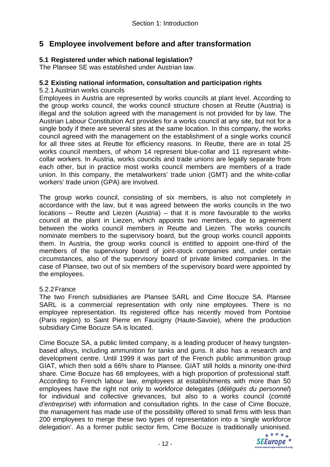### **5 Employee involvement before and after transformation**

#### **5.1 Registered under which national legislation?**

The Plansee SE was established under Austrian law.

#### **5.2 Existing national information, consultation and participation rights**

#### 5.2.1 Austrian works councils

Employees in Austria are represented by works councils at plant level. According to the group works council, the works council structure chosen at Reutte (Austria) is illegal and the solution agreed with the management is not provided for by law. The Austrian Labour Constitution Act provides for a works council at any site, but not for a single body if there are several sites at the same location. In this company, the works council agreed with the management on the establishment of a single works council for all three sites at Reutte for efficiency reasons. In Reutte, there are in total 25 works council members, of whom 14 represent blue-collar and 11 represent whitecollar workers. In Austria, works councils and trade unions are legally separate from each other, but in practice most works council members are members of a trade union. In this company, the metalworkers' trade union (GMT) and the white-collar workers' trade union (GPA) are involved.

The group works council, consisting of six members, is also not completely in accordance with the law, but it was agreed between the works councils in the two locations – Reutte and Liezen (Austria) – that it is more favourable to the works council at the plant in Liezen, which appoints two members, due to agreement between the works council members in Reutte and Liezen. The works councils nominate members to the supervisory board, but the group works council appoints them. In Austria, the group works council is entitled to appoint one-third of the members of the supervisory board of joint-stock companies and, under certain circumstances, also of the supervisory board of private limited companies. In the case of Plansee, two out of six members of the supervisory board were appointed by the employees.

#### 5.2.2 France

The two French subsidiaries are Plansee SARL and Cime Bocuze SA. Plansee SARL is a commercial representation with only nine employees. There is no employee representation. Its registered office has recently moved from Pontoise (Paris region) to Saint Pierre en Faucigny (Haute-Savoie), where the production subsidiary Cime Bocuze SA is located.

Cime Bocuze SA, a public limited company, is a leading producer of heavy tungstenbased alloys, including ammunition for tanks and guns. It also has a research and development centre. Until 1999 it was part of the French public ammunition group GIAT, which then sold a 66% share to Plansee. GIAT still holds a minority one-third share. Cime Bocuze has 68 employees, with a high proportion of professional staff. According to French labour law, employees at establishments with more than 50 employees have the right not only to workforce delegates (*délégués du personnel*) for individual and collective grievances, but also to a works council (*comité d'entreprise*) with information and consultation rights. In the case of Cime Bocuze, the management has made use of the possibility offered to small firms with less than 200 employees to merge these two types of representation into a 'single workforce delegation'. As a former public sector firm, Cime Bocuze is traditionally unionised.

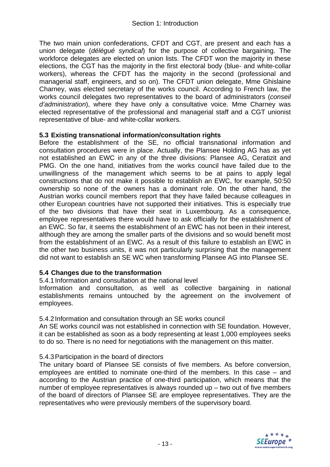The two main union confederations, CFDT and CGT, are present and each has a union delegate (*délégué syndical*) for the purpose of collective bargaining. The workforce delegates are elected on union lists. The CFDT won the majority in these elections, the CGT has the majority in the first electoral body (blue- and white-collar workers), whereas the CFDT has the majority in the second (professional and managerial staff, engineers, and so on). The CFDT union delegate, Mme Ghislaine Charney, was elected secretary of the works council. According to French law, the works council delegates two representatives to the board of administrators (*conseil d'administration*), where they have only a consultative voice. Mme Charney was elected representative of the professional and managerial staff and a CGT unionist representative of blue- and white-collar workers.

#### **5.3 Existing transnational information/consultation rights**

Before the establishment of the SE, no official transnational information and consultation procedures were in place. Actually, the Plansee Holding AG has as yet not established an EWC in any of the three divisions: Plansee AG, Ceratizit and PMG. On the one hand, initiatives from the works council have failed due to the unwillingness of the management which seems to be at pains to apply legal constructions that do not make it possible to establish an EWC, for example, 50:50 ownership so none of the owners has a dominant role. On the other hand, the Austrian works council members report that they have failed because colleagues in other European countries have not supported their initiatives. This is especially true of the two divisions that have their seat in Luxembourg. As a consequence, employee representatives there would have to ask officially for the establishment of an EWC. So far, it seems the establishment of an EWC has not been in their interest, although they are among the smaller parts of the divisions and so would benefit most from the establishment of an EWC. As a result of this failure to establish an EWC in the other two business units, it was not particularly surprising that the management did not want to establish an SE WC when transforming Plansee AG into Plansee SE.

#### **5.4 Changes due to the transformation**

5.4.1 Information and consultation at the national level

Information and consultation, as well as collective bargaining in national establishments remains untouched by the agreement on the involvement of employees.

#### 5.4.2 Information and consultation through an SE works council

An SE works council was not established in connection with SE foundation. However, it can be established as soon as a body representing at least 1,000 employees seeks to do so. There is no need for negotiations with the management on this matter.

#### 5.4.3 Participation in the board of directors

The unitary board of Plansee SE consists of five members. As before conversion, employees are entitled to nominate one-third of the members. In this case – and according to the Austrian practice of one-third participation, which means that the number of employee representatives is always rounded up – two out of five members of the board of directors of Plansee SE are employee representatives. They are the representatives who were previously members of the supervisory board.

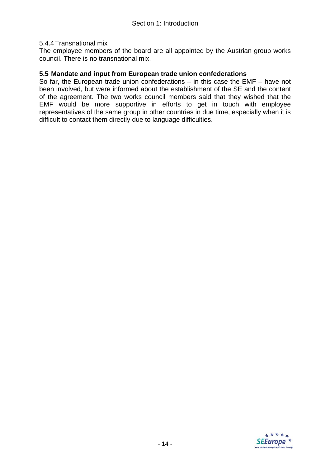#### 5.4.4 Transnational mix

The employee members of the board are all appointed by the Austrian group works council. There is no transnational mix.

#### **5.5 Mandate and input from European trade union confederations**

So far, the European trade union confederations – in this case the EMF – have not been involved, but were informed about the establishment of the SE and the content of the agreement. The two works council members said that they wished that the EMF would be more supportive in efforts to get in touch with employee representatives of the same group in other countries in due time, especially when it is difficult to contact them directly due to language difficulties.

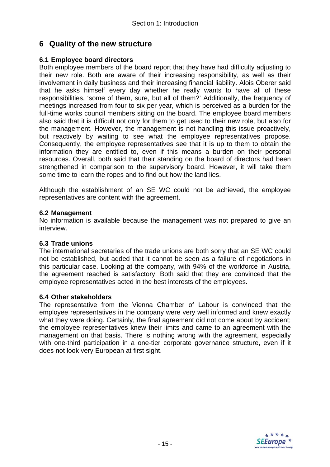### **6 Quality of the new structure**

#### **6.1 Employee board directors**

Both employee members of the board report that they have had difficulty adjusting to their new role. Both are aware of their increasing responsibility, as well as their involvement in daily business and their increasing financial liability. Alois Oberer said that he asks himself every day whether he really wants to have all of these responsibilities, 'some of them, sure, but all of them?' Additionally, the frequency of meetings increased from four to six per year, which is perceived as a burden for the full-time works council members sitting on the board. The employee board members also said that it is difficult not only for them to get used to their new role, but also for the management. However, the management is not handling this issue proactively, but reactively by waiting to see what the employee representatives propose. Consequently, the employee representatives see that it is up to them to obtain the information they are entitled to, even if this means a burden on their personal resources. Overall, both said that their standing on the board of directors had been strengthened in comparison to the supervisory board. However, it will take them some time to learn the ropes and to find out how the land lies.

Although the establishment of an SE WC could not be achieved, the employee representatives are content with the agreement.

#### **6.2 Management**

No information is available because the management was not prepared to give an interview.

#### **6.3 Trade unions**

The international secretaries of the trade unions are both sorry that an SE WC could not be established, but added that it cannot be seen as a failure of negotiations in this particular case. Looking at the company, with 94% of the workforce in Austria, the agreement reached is satisfactory. Both said that they are convinced that the employee representatives acted in the best interests of the employees.

#### **6.4 Other stakeholders**

The representative from the Vienna Chamber of Labour is convinced that the employee representatives in the company were very well informed and knew exactly what they were doing. Certainly, the final agreement did not come about by accident; the employee representatives knew their limits and came to an agreement with the management on that basis. There is nothing wrong with the agreement, especially with one-third participation in a one-tier corporate governance structure, even if it does not look very European at first sight.

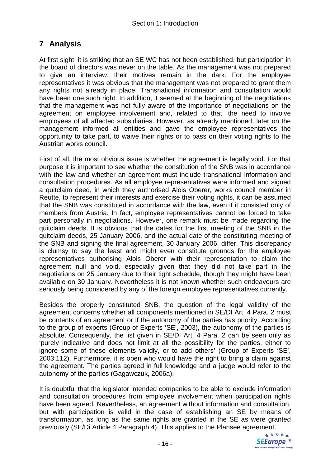### **7 Analysis**

At first sight, it is striking that an SE WC has not been established, but participation in the board of directors was never on the table. As the management was not prepared to give an interview, their motives remain in the dark. For the employee representatives it was obvious that the management was not prepared to grant them any rights not already in place. Transnational information and consultation would have been one such right. In addition, it seemed at the beginning of the negotiations that the management was not fully aware of the importance of negotiations on the agreement on employee involvement and, related to that, the need to involve employees of all affected subsidiaries. However, as already mentioned, later on the management informed all entities and gave the employee representatives the opportunity to take part, to waive their rights or to pass on their voting rights to the Austrian works council.

First of all, the most obvious issue is whether the agreement is legally void. For that purpose it is important to see whether the constitution of the SNB was in accordance with the law and whether an agreement must include transnational information and consultation procedures. As all employee representatives were informed and signed a quitclaim deed, in which they authorised Alois Oberer, works council member in Reutte, to represent their interests and exercise their voting rights, it can be assumed that the SNB was constituted in accordance with the law, even if it consisted only of members from Austria. In fact, employee representatives cannot be forced to take part personally in negotiations. However, one remark must be made regarding the quitclaim deeds. It is obvious that the dates for the first meeting of the SNB in the quitclaim deeds, 25 January 2006, and the actual date of the constituting meeting of the SNB and signing the final agreement, 30 January 2006, differ. This discrepancy is clumsy to say the least and might even constitute grounds for the employee representatives authorising Alois Oberer with their representation to claim the agreement null and void, especially given that they did not take part in the negotiations on 25 January due to their tight schedule, though they might have been available on 30 January. Nevertheless it is not known whether such endeavours are seriously being considered by any of the foreign employee representatives currently.

Besides the properly constituted SNB, the question of the legal validity of the agreement concerns whether all components mentioned in SE/DI Art. 4 Para. 2 must be contents of an agreement or if the autonomy of the parties has priority. According to the group of experts (Group of Experts 'SE', 2003), the autonomy of the parties is absolute. Consequently, the list given in SE/DI Art. 4 Para. 2 can be seen only as 'purely indicative and does not limit at all the possibility for the parties, either to ignore some of these elements validly, or to add others' (Group of Experts 'SE', 2003:112). Furthermore, it is open who would have the right to bring a claim against the agreement. The parties agreed in full knowledge and a judge would refer to the autonomy of the parties (Gagawczuk, 2006a).

It is doubtful that the legislator intended companies to be able to exclude information and consultation procedures from employee involvement when participation rights have been agreed. Nevertheless, an agreement without information and consultation, but with participation is valid in the case of establishing an SE by means of transformation, as long as the same rights are granted in the SE as were granted previously (SE/Di Article 4 Paragraph 4). This applies to the Plansee agreement.

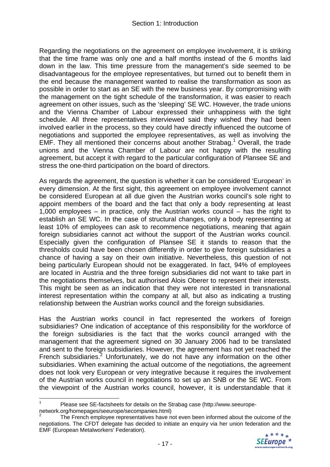Regarding the negotiations on the agreement on employee involvement, it is striking that the time frame was only one and a half months instead of the 6 months laid down in the law. This time pressure from the management's side seemed to be disadvantageous for the employee representatives, but turned out to benefit them in the end because the management wanted to realise the transformation as soon as possible in order to start as an SE with the new business year. By compromising with the management on the tight schedule of the transformation, it was easier to reach agreement on other issues, such as the 'sleeping' SE WC. However, the trade unions and the Vienna Chamber of Labour expressed their unhappiness with the tight schedule. All three representatives interviewed said they wished they had been involved earlier in the process, so they could have directly influenced the outcome of negotiations and supported the employee representatives, as well as involving the EMF. They all mentioned their concerns about another Strabag.<sup>1</sup> Overall, the trade unions and the Vienna Chamber of Labour are not happy with the resulting agreement, but accept it with regard to the particular configuration of Plansee SE and stress the one-third participation on the board of directors.

As regards the agreement, the question is whether it can be considered 'European' in every dimension. At the first sight, this agreement on employee involvement cannot be considered European at all due given the Austrian works council's sole right to appoint members of the board and the fact that only a body representing at least 1,000 employees – in practice, only the Austrian works council – has the right to establish an SE WC. In the case of structural changes, only a body representing at least 10% of employees can ask to recommence negotiations, meaning that again foreign subsidiaries cannot act without the support of the Austrian works council. Especially given the configuration of Plansee SE it stands to reason that the thresholds could have been chosen differently in order to give foreign subsidiaries a chance of having a say on their own initiative. Nevertheless, this question of not being particularly European should not be exaggerated. In fact, 94% of employees are located in Austria and the three foreign subsidiaries did not want to take part in the negotiations themselves, but authorised Alois Oberer to represent their interests. This might be seen as an indication that they were not interested in transnational interest representation within the company at all, but also as indicating a trusting relationship between the Austrian works council and the foreign subsidiaries.

Has the Austrian works council in fact represented the workers of foreign subsidiaries? One indication of acceptance of this responsibility for the workforce of the foreign subsidiaries is the fact that the works council arranged with the management that the agreement signed on 30 January 2006 had to be translated and sent to the foreign subsidiaries. However, the agreement has not yet reached the French subsidiaries.<sup>2</sup> Unfortunately, we do not have any information on the other subsidiaries. When examining the actual outcome of the negotiations, the agreement does not look very European or very integrative because it requires the involvement of the Austrian works council in negotiations to set up an SNB or the SE WC. From the viewpoint of the Austrian works council, however, it is understandable that it

<sup>2</sup> The French employee representatives have not even been informed about the outcome of the negotiations. The CFDT delegate has decided to initiate an enquiry via her union federation and the EMF (European Metalworkers' Federation).



 $\frac{1}{1}$  Please see SE-factsheets for details on the Strabag case (http://www.seeuropenetwork.org/homepages/seeurope/secompanies.html)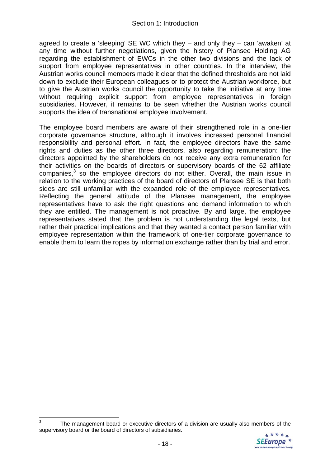agreed to create a 'sleeping' SE WC which they – and only they – can 'awaken' at any time without further negotiations, given the history of Plansee Holding AG regarding the establishment of EWCs in the other two divisions and the lack of support from employee representatives in other countries. In the interview, the Austrian works council members made it clear that the defined thresholds are not laid down to exclude their European colleagues or to protect the Austrian workforce, but to give the Austrian works council the opportunity to take the initiative at any time without requiring explicit support from employee representatives in foreign subsidiaries. However, it remains to be seen whether the Austrian works council supports the idea of transnational employee involvement.

The employee board members are aware of their strengthened role in a one-tier corporate governance structure, although it involves increased personal financial responsibility and personal effort. In fact, the employee directors have the same rights and duties as the other three directors, also regarding remuneration: the directors appointed by the shareholders do not receive any extra remuneration for their activities on the boards of directors or supervisory boards of the 62 affiliate companies, $3$  so the employee directors do not either. Overall, the main issue in relation to the working practices of the board of directors of Plansee SE is that both sides are still unfamiliar with the expanded role of the employee representatives. Reflecting the general attitude of the Plansee management, the employee representatives have to ask the right questions and demand information to which they are entitled. The management is not proactive. By and large, the employee representatives stated that the problem is not understanding the legal texts, but rather their practical implications and that they wanted a contact person familiar with employee representation within the framework of one-tier corporate governance to enable them to learn the ropes by information exchange rather than by trial and error.

1



<sup>3</sup> The management board or executive directors of a division are usually also members of the supervisory board or the board of directors of subsidiaries.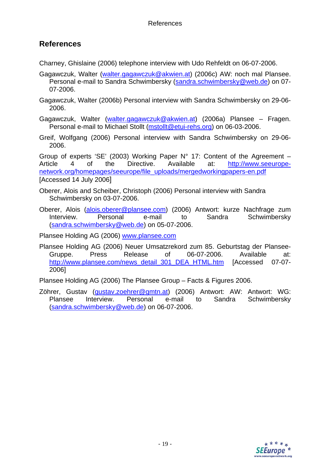### **References**

Charney, Ghislaine (2006) telephone interview with Udo Rehfeldt on 06-07-2006.

- Gagawczuk, Walter (walter.gagawczuk@akwien.at) (2006c) AW: noch mal Plansee. Personal e-mail to Sandra Schwimbersky (sandra.schwimbersky@web.de) on 07-07-2006.
- Gagawczuk, Walter (2006b) Personal interview with Sandra Schwimbersky on 29-06- 2006.
- Gagawczuk, Walter (walter.gagawczuk@akwien.at) (2006a) Plansee Fragen. Personal e-mail to Michael Stollt (mstollt@etui-rehs.org) on 06-03-2006.
- Greif, Wolfgang (2006) Personal interview with Sandra Schwimbersky on 29-06- 2006.

Group of experts 'SE' (2003) Working Paper  $N^{\circ}$  17: Content of the Agreement – Article 4 of the Directive. Available at: http://www.seeuropenetwork.org/homepages/seeurope/file\_uploads/mergedworkingpapers-en.pdf [Accessed 14 July 2006]

- Oberer, Alois and Scheiber, Christoph (2006) Personal interview with Sandra Schwimbersky on 03-07-2006.
- Oberer, Alois (alois.oberer@plansee.com) (2006) Antwort: kurze Nachfrage zum Interview. Personal e-mail to Sandra Schwimbersky (sandra.schwimbersky@web.de) on 05-07-2006.

Plansee Holding AG (2006) www.plansee.com

Plansee Holding AG (2006) Neuer Umsatzrekord zum 85. Geburtstag der Plansee-Gruppe. Press Release of 06-07-2006. Available at: http://www.plansee.com/news\_detail\_301\_DEA\_HTML.htm [Accessed 07-07-2006]

Plansee Holding AG (2006) The Plansee Group – Facts & Figures 2006.

Zöhrer, Gustav (gustav.zoehrer@gmtn.at) (2006) Antwort: AW: Antwort: WG: Plansee Interview. Personal e-mail to Sandra Schwimbersky (sandra.schwimbersky@web.de) on 06-07-2006.

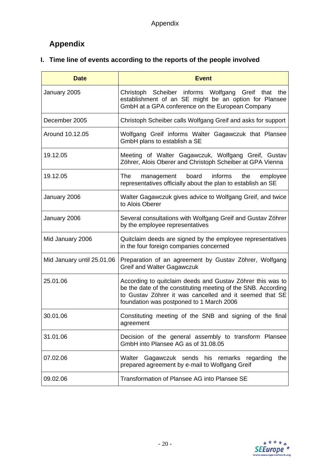# **Appendix**

# **I. Time line of events according to the reports of the people involved**

| <b>Date</b>                | <b>Event</b>                                                                                                                                                                                                                       |
|----------------------------|------------------------------------------------------------------------------------------------------------------------------------------------------------------------------------------------------------------------------------|
| January 2005               | Christoph Scheiber informs Wolfgang Greif that the<br>establishment of an SE might be an option for Plansee<br>GmbH at a GPA conference on the European Company                                                                    |
| December 2005              | Christoph Scheiber calls Wolfgang Greif and asks for support                                                                                                                                                                       |
| Around 10.12.05            | Wolfgang Greif informs Walter Gagawczuk that Plansee<br>GmbH plans to establish a SE                                                                                                                                               |
| 19.12.05                   | Meeting of Walter Gagawczuk, Wolfgang Greif, Gustav<br>Zöhrer, Alois Oberer and Christoph Scheiber at GPA Vienna                                                                                                                   |
| 19.12.05                   | board<br>informs<br>the<br>The:<br>employee<br>management<br>representatives officially about the plan to establish an SE                                                                                                          |
| January 2006               | Walter Gagawczuk gives advice to Wolfgang Greif, and twice<br>to Alois Oberer                                                                                                                                                      |
| January 2006               | Several consultations with Wolfgang Greif and Gustav Zöhrer<br>by the employee representatives                                                                                                                                     |
| Mid January 2006           | Quitclaim deeds are signed by the employee representatives<br>in the four foreign companies concerned                                                                                                                              |
| Mid January until 25.01.06 | Preparation of an agreement by Gustav Zöhrer, Wolfgang<br><b>Greif and Walter Gagawczuk</b>                                                                                                                                        |
| 25.01.06                   | According to quitclaim deeds and Gustav Zöhrer this was to<br>be the date of the constituting meeting of the SNB. According<br>to Gustav Zöhrer it was cancelled and it seemed that SE<br>foundation was postponed to 1 March 2006 |
| 30.01.06                   | Constituting meeting of the SNB and signing of the final<br>agreement                                                                                                                                                              |
| 31.01.06                   | Decision of the general assembly to transform Plansee<br>GmbH into Plansee AG as of 31.08.05                                                                                                                                       |
| 07.02.06                   | Walter Gagawczuk sends his remarks regarding<br>the<br>prepared agreement by e-mail to Wolfgang Greif                                                                                                                              |
| 09.02.06                   | Transformation of Plansee AG into Plansee SE                                                                                                                                                                                       |